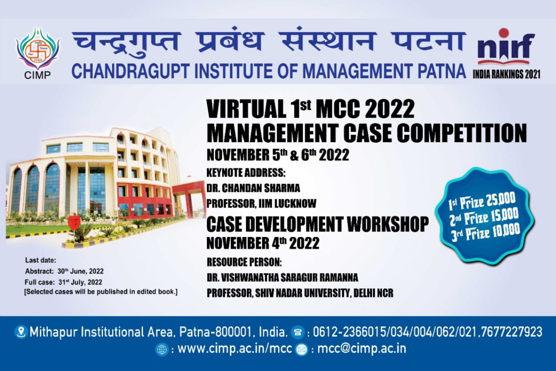



Last date: Abstract: 30th June, 2022 Full case: 31st July, 2022 [Selected cases will be published in edited book.]

# **VIRTUAL 1st MCC 2022 MANAGEMENT CASE COMPETITION NOVEMBER 5th & 6th 2022 KEYNOTE ADDRESS: DR. CHANDAN SHARMA** Ist Prize 25,000 **PROFESSOR, IIM LUCKNOW CASE DEVELOPMENT WORKSHOP** 3rd Prize 1000 **NOVEMBER 4th 2022**

**RESOURCE PERSON:** 

DR. VISHWANATHA SARAGUR RAMANNA PROFESSOR, SHIV NADAR UNIVERSITY, DELHI NCR

8 Mithapur Institutional Area, Patna-800001, India. (8): 0612-2366015/034/004/062/021,7677227923  $\circledast$  : www.cimp.ac.in/mcc  $\circledast$  : mcc@cimp.ac.in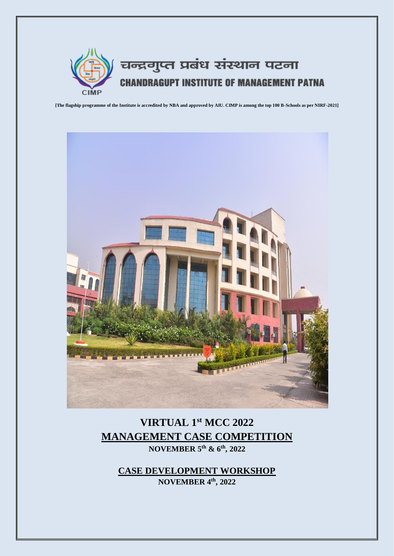

**[The flagship programme of the Institute is accredited by NBA and approved by AIU. CIMP is among the top 100 B-Schools as per NIRF-2021]**



# **VIRTUAL 1st MCC 2022 MANAGEMENT CASE COMPETITION NOVEMBER 5th & 6th , 2022**

**CASE DEVELOPMENT WORKSHOP NOVEMBER 4th , 2022**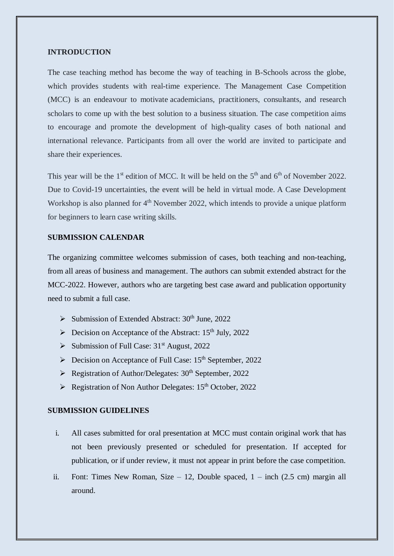#### **INTRODUCTION**

The case teaching method has become the way of teaching in B-Schools across the globe, which provides students with real-time experience. The Management Case Competition (MCC) is an endeavour to motivate academicians, practitioners, consultants, and research scholars to come up with the best solution to a business situation. The case competition aims to encourage and promote the development of high-quality cases of both national and international relevance. Participants from all over the world are invited to participate and share their experiences.

This year will be the 1<sup>st</sup> edition of MCC. It will be held on the  $5<sup>th</sup>$  and  $6<sup>th</sup>$  of November 2022. Due to Covid-19 uncertainties, the event will be held in virtual mode. A Case Development Workshop is also planned for  $4<sup>th</sup>$  November 2022, which intends to provide a unique platform for beginners to learn case writing skills.

## **SUBMISSION CALENDAR**

The organizing committee welcomes submission of cases, both teaching and non-teaching, from all areas of business and management. The authors can submit extended abstract for the MCC-2022. However, authors who are targeting best case award and publication opportunity need to submit a full case.

- $\triangleright$  Submission of Extended Abstract: 30<sup>th</sup> June, 2022
- $\triangleright$  Decision on Acceptance of the Abstract: 15<sup>th</sup> July, 2022
- Submission of Full Case:  $31<sup>st</sup>$  August, 2022
- ▶ Decision on Acceptance of Full Case: 15<sup>th</sup> September, 2022
- $\triangleright$  Registration of Author/Delegates: 30<sup>th</sup> September, 2022
- $\triangleright$  Registration of Non Author Delegates: 15<sup>th</sup> October, 2022

#### **SUBMISSION GUIDELINES**

- i. All cases submitted for oral presentation at MCC must contain original work that has not been previously presented or scheduled for presentation. If accepted for publication, or if under review, it must not appear in print before the case competition.
- ii. Font: Times New Roman, Size 12, Double spaced,  $1 -$ inch (2.5 cm) margin all around.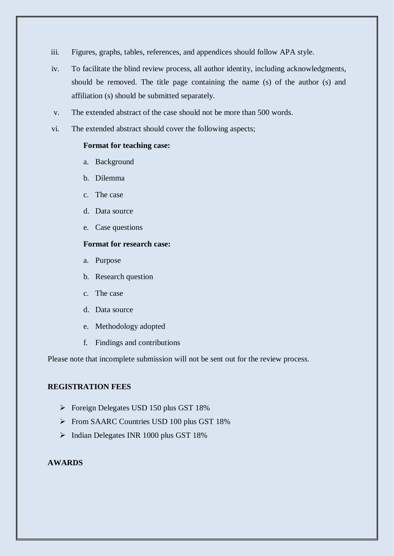- iii. Figures, graphs, tables, references, and appendices should follow APA style.
- iv. To facilitate the blind review process, all author identity, including acknowledgments, should be removed. The title page containing the name (s) of the author (s) and affiliation (s) should be submitted separately.
- v. The extended abstract of the case should not be more than 500 words.
- vi. The extended abstract should cover the following aspects;

#### **Format for teaching case:**

- a. Background
- b. Dilemma
- c. The case
- d. Data source
- e. Case questions

## **Format for research case:**

- a. Purpose
- b. Research question
- c. The case
- d. Data source
- e. Methodology adopted
- f. Findings and contributions

Please note that incomplete submission will not be sent out for the review process.

# **REGISTRATION FEES**

- **Foreign Delegates USD 150 plus GST 18%**
- From SAARC Countries USD 100 plus GST 18%
- > Indian Delegates INR 1000 plus GST 18%

# **AWARDS**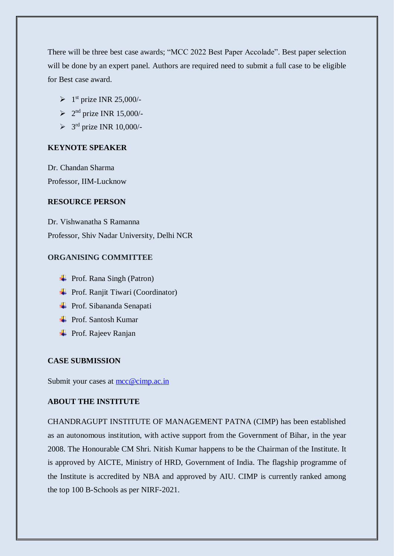There will be three best case awards; "MCC 2022 Best Paper Accolade". Best paper selection will be done by an expert panel. Authors are required need to submit a full case to be eligible for Best case award.

- $\triangleright$  1<sup>st</sup> prize INR 25,000/-
- $\geq$  2<sup>nd</sup> prize INR 15,000/-
- $>$  3<sup>rd</sup> prize INR 10,000/-

#### **KEYNOTE SPEAKER**

Dr. Chandan Sharma Professor, IIM-Lucknow

# **RESOURCE PERSON**

Dr. Vishwanatha S Ramanna Professor, Shiv Nadar University, Delhi NCR

# **ORGANISING COMMITTEE**

- $\overline{\text{Proof.}$  Rana Singh (Patron)
- **← Prof. Ranjit Tiwari (Coordinator)**
- **→** Prof. Sibananda Senapati
- **EXECUTE:** Prof. Santosh Kumar
- **→** Prof. Rajeev Ranjan

#### **CASE SUBMISSION**

Submit your cases at [mcc@cimp.ac.in](mailto:mcc@cimp.ac.in)

#### **ABOUT THE INSTITUTE**

CHANDRAGUPT INSTITUTE OF MANAGEMENT PATNA (CIMP) has been established as an autonomous institution, with active support from the Government of Bihar, in the year 2008. The Honourable CM Shri. Nitish Kumar happens to be the Chairman of the Institute. It is approved by AICTE, Ministry of HRD, Government of India. The flagship programme of the Institute is accredited by NBA and approved by AIU. CIMP is currently ranked among the top 100 B-Schools as per NIRF-2021.